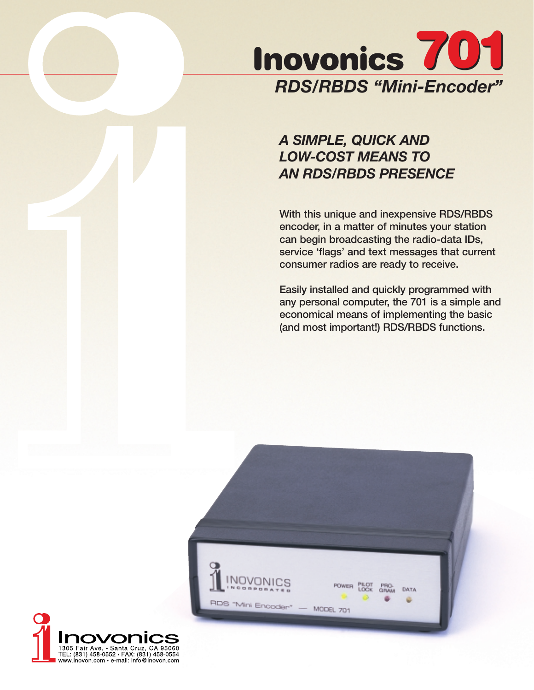

# *A SIMPLE, QUICK AND LOW-COST MEANS TO AN RDS/RBDS PRESENCE*

**With this unique and inexpensive RDS/RBDS encoder, in a matter of minutes your station can begin broadcasting the radio-data IDs, service 'flags' and text messages that current consumer radios are ready to receive.** 

**Easily installed and quickly programmed with any personal computer, the 701 is a simple and economical means of implementing the basic (and most important!) RDS/RBDS functions.**